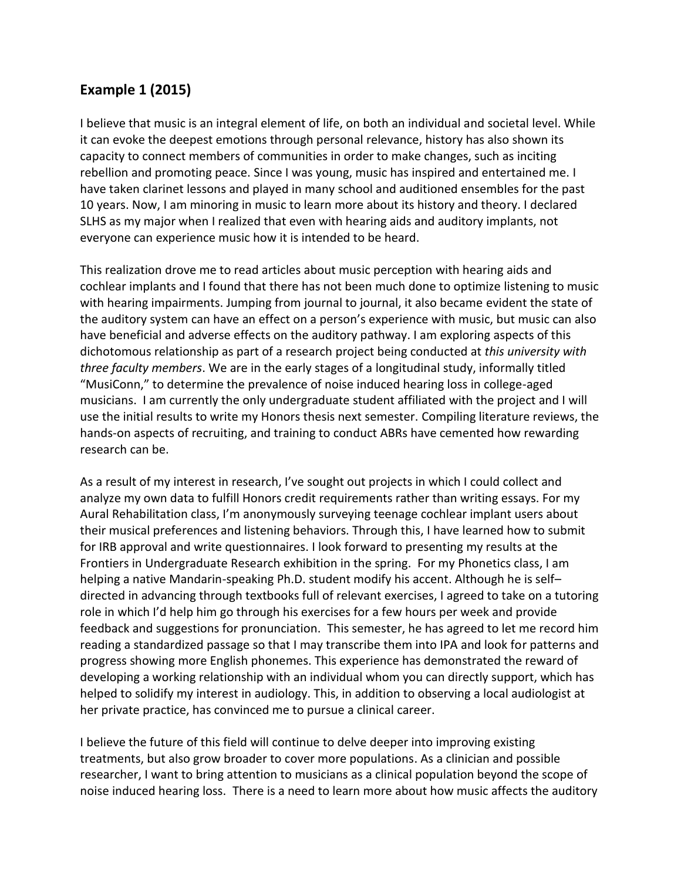## **Example 1 (2015)**

I believe that music is an integral element of life, on both an individual and societal level. While it can evoke the deepest emotions through personal relevance, history has also shown its capacity to connect members of communities in order to make changes, such as inciting rebellion and promoting peace. Since I was young, music has inspired and entertained me. I have taken clarinet lessons and played in many school and auditioned ensembles for the past 10 years. Now, I am minoring in music to learn more about its history and theory. I declared SLHS as my major when I realized that even with hearing aids and auditory implants, not everyone can experience music how it is intended to be heard.

This realization drove me to read articles about music perception with hearing aids and cochlear implants and I found that there has not been much done to optimize listening to music with hearing impairments. Jumping from journal to journal, it also became evident the state of the auditory system can have an effect on a person's experience with music, but music can also have beneficial and adverse effects on the auditory pathway. I am exploring aspects of this dichotomous relationship as part of a research project being conducted at *this university with three faculty members*. We are in the early stages of a longitudinal study, informally titled "MusiConn," to determine the prevalence of noise induced hearing loss in college-aged musicians. I am currently the only undergraduate student affiliated with the project and I will use the initial results to write my Honors thesis next semester. Compiling literature reviews, the hands-on aspects of recruiting, and training to conduct ABRs have cemented how rewarding research can be.

As a result of my interest in research, I've sought out projects in which I could collect and analyze my own data to fulfill Honors credit requirements rather than writing essays. For my Aural Rehabilitation class, I'm anonymously surveying teenage cochlear implant users about their musical preferences and listening behaviors. Through this, I have learned how to submit for IRB approval and write questionnaires. I look forward to presenting my results at the Frontiers in Undergraduate Research exhibition in the spring. For my Phonetics class, I am helping a native Mandarin-speaking Ph.D. student modify his accent. Although he is self– directed in advancing through textbooks full of relevant exercises, I agreed to take on a tutoring role in which I'd help him go through his exercises for a few hours per week and provide feedback and suggestions for pronunciation. This semester, he has agreed to let me record him reading a standardized passage so that I may transcribe them into IPA and look for patterns and progress showing more English phonemes. This experience has demonstrated the reward of developing a working relationship with an individual whom you can directly support, which has helped to solidify my interest in audiology. This, in addition to observing a local audiologist at her private practice, has convinced me to pursue a clinical career.

I believe the future of this field will continue to delve deeper into improving existing treatments, but also grow broader to cover more populations. As a clinician and possible researcher, I want to bring attention to musicians as a clinical population beyond the scope of noise induced hearing loss. There is a need to learn more about how music affects the auditory